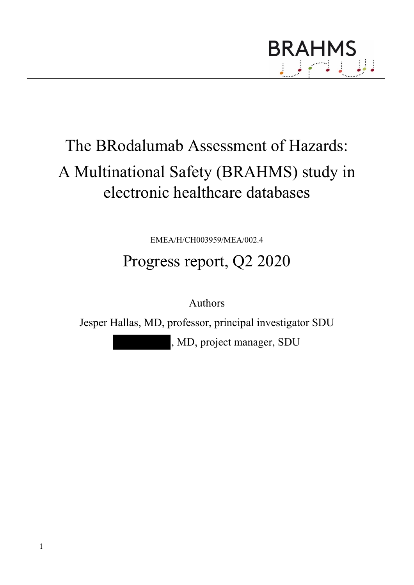

# The BRodalumab Assessment of Hazards: A Multinational Safety (BRAHMS) study in electronic healthcare databases

EMEA/H/CH003959/MEA/002.4

# Progress report, Q2 2020

Authors

Jesper Hallas, MD, professor, principal investigator SDU

, MD, project manager, SDU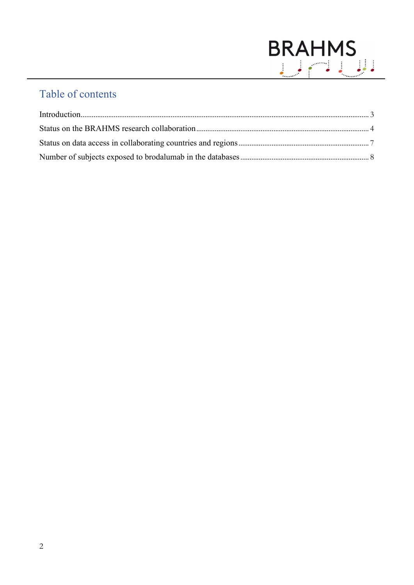

# Table of contents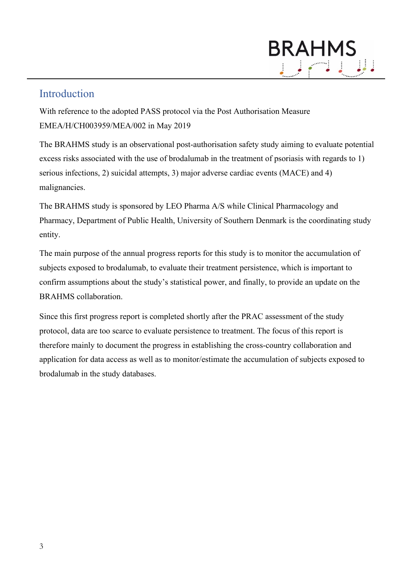# **BRAHMS**

## <span id="page-2-0"></span>Introduction

With reference to the adopted PASS protocol via the Post Authorisation Measure EMEA/H/CH003959/MEA/002 in May 2019

The BRAHMS study is an observational post-authorisation safety study aiming to evaluate potential excess risks associated with the use of brodalumab in the treatment of psoriasis with regards to 1) serious infections, 2) suicidal attempts, 3) major adverse cardiac events (MACE) and 4) malignancies.

The BRAHMS study is sponsored by LEO Pharma A/S while Clinical Pharmacology and Pharmacy, Department of Public Health, University of Southern Denmark is the coordinating study entity.

The main purpose of the annual progress reports for this study is to monitor the accumulation of subjects exposed to brodalumab, to evaluate their treatment persistence, which is important to confirm assumptions about the study's statistical power, and finally, to provide an update on the BRAHMS collaboration.

<span id="page-2-1"></span>Since this first progress report is completed shortly after the PRAC assessment of the study protocol, data are too scarce to evaluate persistence to treatment. The focus of this report is therefore mainly to document the progress in establishing the cross-country collaboration and application for data access as well as to monitor/estimate the accumulation of subjects exposed to brodalumab in the study databases.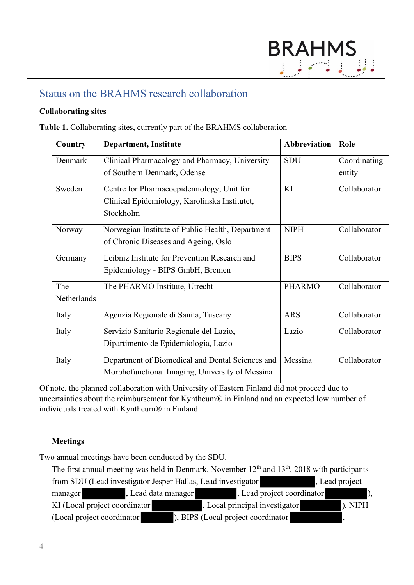### Status on the BRAHMS research collaboration

#### **Collaborating sites**

**Table 1.** Collaborating sites, currently part of the BRAHMS collaboration

| Country     | <b>Department, Institute</b>                     | <b>Abbreviation</b> | Role         |
|-------------|--------------------------------------------------|---------------------|--------------|
| Denmark     | Clinical Pharmacology and Pharmacy, University   | <b>SDU</b>          | Coordinating |
|             | of Southern Denmark, Odense                      |                     | entity       |
| Sweden      | Centre for Pharmacoepidemiology, Unit for        | KI                  | Collaborator |
|             | Clinical Epidemiology, Karolinska Institutet,    |                     |              |
|             | Stockholm                                        |                     |              |
| Norway      | Norwegian Institute of Public Health, Department | <b>NIPH</b>         | Collaborator |
|             | of Chronic Diseases and Ageing, Oslo             |                     |              |
| Germany     | Leibniz Institute for Prevention Research and    | <b>BIPS</b>         | Collaborator |
|             | Epidemiology - BIPS GmbH, Bremen                 |                     |              |
| The         | The PHARMO Institute, Utrecht                    | <b>PHARMO</b>       | Collaborator |
| Netherlands |                                                  |                     |              |
| Italy       | Agenzia Regionale di Sanità, Tuscany             | <b>ARS</b>          | Collaborator |
| Italy       | Servizio Sanitario Regionale del Lazio,          | Lazio               | Collaborator |
|             | Dipartimento de Epidemiologia, Lazio             |                     |              |
| Italy       | Department of Biomedical and Dental Sciences and | Messina             | Collaborator |
|             | Morphofunctional Imaging, University of Messina  |                     |              |

Of note, the planned collaboration with University of Eastern Finland did not proceed due to uncertainties about the reimbursement for Kyntheum® in Finland and an expected low number of individuals treated with Kyntheum® in Finland.

#### **Meetings**

Two annual meetings have been conducted by the SDU.

The first annual meeting was held in Denmark, November  $12<sup>th</sup>$  and  $13<sup>th</sup>$ , 2018 with participants from SDU (Lead investigator Jesper Hallas, Lead investigator , Lead project manager , Lead data manager , Lead project coordinator KI (Local project coordinator ), Local principal investigator ), NIPH (Local project coordinator ), BIPS (Local project coordinator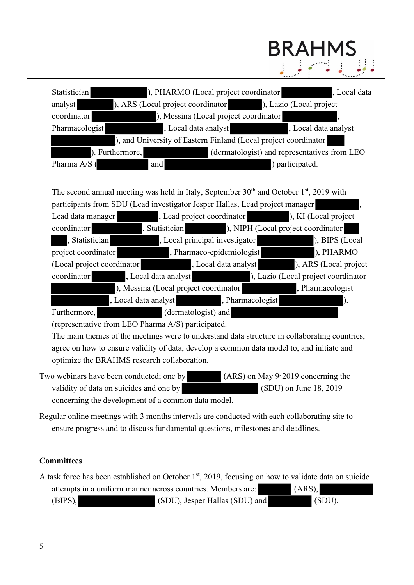| Statistician    | ), PHARMO (Local project coordinator                            |                                               | Local data |
|-----------------|-----------------------------------------------------------------|-----------------------------------------------|------------|
| analyst         | ), ARS (Local project coordinator                               | ), Lazio (Local project                       |            |
| coordinator     | ), Messina (Local project coordinator                           |                                               |            |
| Pharmacologist  | , Local data analyst                                            | , Local data analyst<br><u> Album ang pag</u> |            |
|                 | ), and University of Eastern Finland (Local project coordinator |                                               |            |
| ). Furthermore, |                                                                 | (dermatologist) and representatives from LEO  |            |
| Pharma A/S (    | and                                                             | ) participated.                               |            |

**BRAHMS** 

The second annual meeting was held in Italy, September  $30<sup>th</sup>$  and October 1<sup>st</sup>, 2019 with participants from SDU (Lead investigator Jesper Hallas, Lead project manager , Lead data manager , Lead project coordinator ), KI (Local project

| coordinator                | , Statistician                        | <u>rang pagkalan </u>          | ), NIPH (Local project coordinator  |
|----------------------------|---------------------------------------|--------------------------------|-------------------------------------|
| , Statistician             |                                       | , Local principal investigator | ), BIPS (Local                      |
| project coordinator        |                                       | , Pharmaco-epidemiologist      | ), PHARMO                           |
| (Local project coordinator |                                       | , Local data analyst           | ), ARS (Local project               |
| coordinator                | , Local data analyst                  |                                | ), Lazio (Local project coordinator |
|                            | ), Messina (Local project coordinator |                                | , Pharmacologist                    |
|                            | , Local data analyst                  | , Pharmacologist               |                                     |
| Furthermore,               | (dermatologist) and                   |                                |                                     |

(representative from LEO Pharma A/S) participated.

The main themes of the meetings were to understand data structure in collaborating countries, agree on how to ensure validity of data, develop a common data model to, and initiate and optimize the BRAHMS research collaboration.

- Two webinars have been conducted; one by (ARS) on May 9, 2019 concerning the validity of data on suicides and one by (SDU) on June 18, 2019 concerning the development of a common data model.
- Regular online meetings with 3 months intervals are conducted with each collaborating site to ensure progress and to discuss fundamental questions, milestones and deadlines.

#### **Committees**

A task force has been established on October  $1<sup>st</sup>$ , 2019, focusing on how to validate data on suicide attempts in a uniform manner across countries. Members are: (ARS), (BIPS), (SDU), Jesper Hallas (SDU) and (SDU).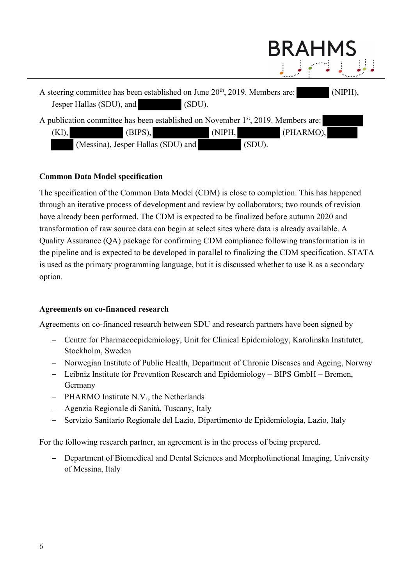

#### **Common Data Model specification**

The specification of the Common Data Model (CDM) is close to completion. This has happened through an iterative process of development and review by collaborators; two rounds of revision have already been performed. The CDM is expected to be finalized before autumn 2020 and transformation of raw source data can begin at select sites where data is already available. A Quality Assurance (QA) package for confirming CDM compliance following transformation is in the pipeline and is expected to be developed in parallel to finalizing the CDM specification. STATA is used as the primary programming language, but it is discussed whether to use R as a secondary option.

#### **Agreements on co-financed research**

Agreements on co-financed research between SDU and research partners have been signed by

- − Centre for Pharmacoepidemiology, Unit for Clinical Epidemiology, Karolinska Institutet, Stockholm, Sweden
- − Norwegian Institute of Public Health, Department of Chronic Diseases and Ageing, Norway
- − Leibniz Institute for Prevention Research and Epidemiology BIPS GmbH Bremen, Germany
- − PHARMO Institute N.V., the Netherlands
- − Agenzia Regionale di Sanità, Tuscany, Italy
- − Servizio Sanitario Regionale del Lazio, Dipartimento de Epidemiologia, Lazio, Italy

For the following research partner, an agreement is in the process of being prepared.

Department of Biomedical and Dental Sciences and Morphofunctional Imaging, University of Messina, Italy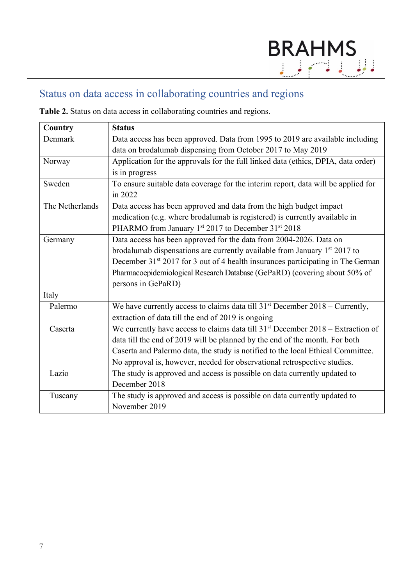# <span id="page-6-0"></span>Status on data access in collaborating countries and regions

**Table 2.** Status on data access in collaborating countries and regions.

| Country         | <b>Status</b>                                                                               |
|-----------------|---------------------------------------------------------------------------------------------|
| Denmark         | Data access has been approved. Data from 1995 to 2019 are available including               |
|                 | data on brodalumab dispensing from October 2017 to May 2019                                 |
| Norway          | Application for the approvals for the full linked data (ethics, DPIA, data order)           |
|                 | is in progress                                                                              |
| Sweden          | To ensure suitable data coverage for the interim report, data will be applied for           |
|                 | in 2022                                                                                     |
| The Netherlands | Data access has been approved and data from the high budget impact                          |
|                 | medication (e.g. where brodalumab is registered) is currently available in                  |
|                 | PHARMO from January 1st 2017 to December 31st 2018                                          |
| Germany         | Data access has been approved for the data from 2004-2026. Data on                          |
|                 | brodalumab dispensations are currently available from January $1st 2017$ to                 |
|                 | December 31 <sup>st</sup> 2017 for 3 out of 4 health insurances participating in The German |
|                 | Pharmacoepidemiological Research Database (GePaRD) (covering about 50% of                   |
|                 | persons in GePaRD)                                                                          |
| Italy           |                                                                                             |
| Palermo         | We have currently access to claims data till $31st$ December 2018 – Currently,              |
|                 | extraction of data till the end of 2019 is ongoing                                          |
| Caserta         | We currently have access to claims data till $31st$ December 2018 – Extraction of           |
|                 | data till the end of 2019 will be planned by the end of the month. For both                 |
|                 | Caserta and Palermo data, the study is notified to the local Ethical Committee.             |
|                 | No approval is, however, needed for observational retrospective studies.                    |
| Lazio           | The study is approved and access is possible on data currently updated to                   |
|                 | December 2018                                                                               |
| Tuscany         | The study is approved and access is possible on data currently updated to                   |
|                 | November 2019                                                                               |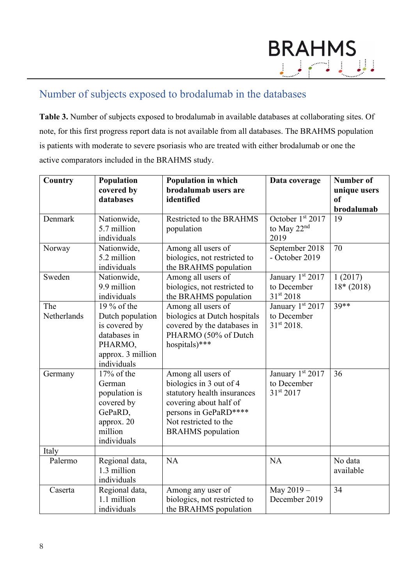## <span id="page-7-0"></span>Number of subjects exposed to brodalumab in the databases

**Table 3.** Number of subjects exposed to brodalumab in available databases at collaborating sites. Of note, for this first progress report data is not available from all databases. The BRAHMS population is patients with moderate to severe psoriasis who are treated with either brodalumab or one the active comparators included in the BRAHMS study.

| Country            | Population<br>covered by<br>databases                                                                           | <b>Population in which</b><br>brodalumab users are<br>identified                                                                                                                     | Data coverage                                            | Number of<br>unique users<br><sub>of</sub><br>brodalumab |
|--------------------|-----------------------------------------------------------------------------------------------------------------|--------------------------------------------------------------------------------------------------------------------------------------------------------------------------------------|----------------------------------------------------------|----------------------------------------------------------|
| Denmark            | Nationwide,<br>5.7 million<br>individuals                                                                       | Restricted to the BRAHMS<br>population                                                                                                                                               | October 1st 2017<br>to May 22 <sup>nd</sup><br>2019      | 19                                                       |
| Norway             | Nationwide,<br>5.2 million<br>individuals                                                                       | Among all users of<br>biologics, not restricted to<br>the BRAHMS population                                                                                                          | September 2018<br>- October 2019                         | 70                                                       |
| Sweden             | Nationwide,<br>9.9 million<br>individuals                                                                       | Among all users of<br>biologics, not restricted to<br>the BRAHMS population                                                                                                          | January 1st 2017<br>to December<br>31st 2018             | 1(2017)<br>$18*(2018)$                                   |
| The<br>Netherlands | 19 % of the<br>Dutch population<br>is covered by<br>databases in<br>PHARMO,<br>approx. 3 million<br>individuals | Among all users of<br>biologics at Dutch hospitals<br>covered by the databases in<br>PHARMO (50% of Dutch<br>hospitals)***                                                           | January 1st 2017<br>to December<br>31st 2018.            | $39***$                                                  |
| Germany            | 17% of the<br>German<br>population is<br>covered by<br>GePaRD,<br>approx. 20<br>million<br>individuals          | Among all users of<br>biologics in 3 out of 4<br>statutory health insurances<br>covering about half of<br>persons in GePaRD****<br>Not restricted to the<br><b>BRAHMS</b> population | January 1st 2017<br>to December<br>31 <sup>st</sup> 2017 | 36                                                       |
| Italy              |                                                                                                                 |                                                                                                                                                                                      |                                                          |                                                          |
| Palermo            | Regional data,<br>1.3 million<br>individuals                                                                    | NA                                                                                                                                                                                   | <b>NA</b>                                                | No data<br>available                                     |
| Caserta            | Regional data,<br>1.1 million<br>individuals                                                                    | Among any user of<br>biologics, not restricted to<br>the BRAHMS population                                                                                                           | May 2019 -<br>December 2019                              | 34                                                       |